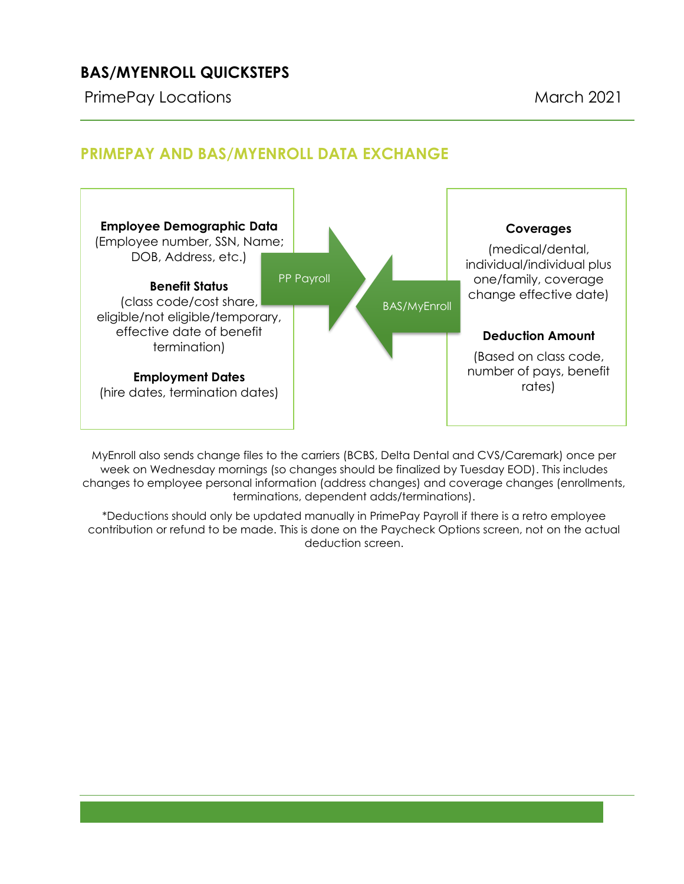# **BAS/MYENROLL QUICKSTEPS**

PrimePay Locations **March 2021** 

#### **Employee Demographic Data** (Employee number, SSN, Name; DOB, Address, etc.) **Benefit Status** (class code/cost share, eligible/not eligible/temporary, effective date of benefit termination) **Employment Dates** (hire dates, termination dates) **Coverages** (medical/dental, individual/individual plus one/family, coverage change effective date) **Deduction Amount** (Based on class code, number of pays, benefit rates) PP Payroll BAS/MyEnroll

# **PRIMEPAY AND BAS/MYENROLL DATA EXCHANGE**

MyEnroll also sends change files to the carriers (BCBS, Delta Dental and CVS/Caremark) once per week on Wednesday mornings (so changes should be finalized by Tuesday EOD). This includes changes to employee personal information (address changes) and coverage changes (enrollments, terminations, dependent adds/terminations).

\*Deductions should only be updated manually in PrimePay Payroll if there is a retro employee contribution or refund to be made. This is done on the Paycheck Options screen, not on the actual deduction screen.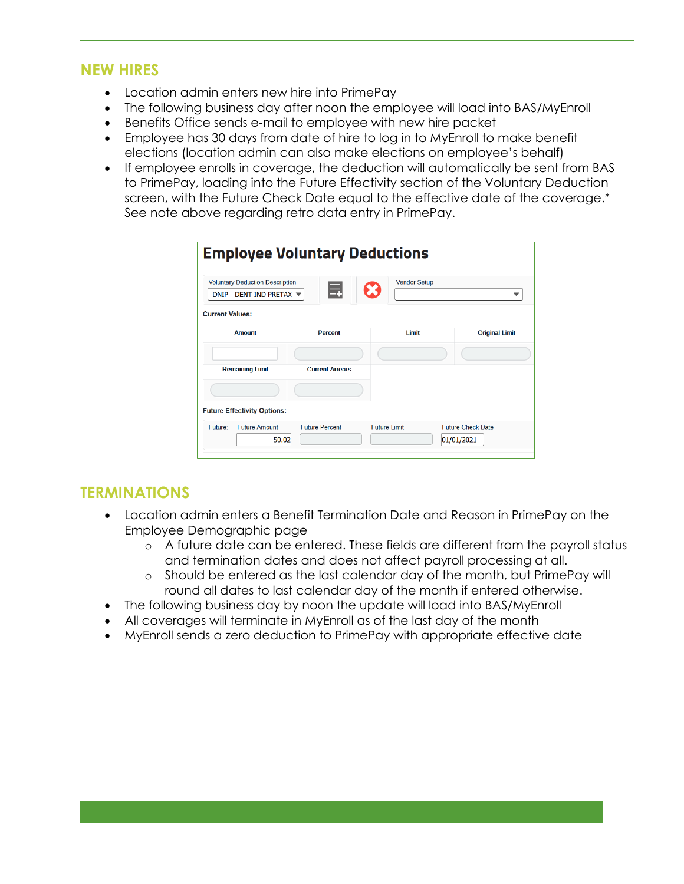### **NEW HIRES**

- Location admin enters new hire into PrimePay
- The following business day after noon the employee will load into BAS/MyEnroll
- Benefits Office sends e-mail to employee with new hire packet
- Employee has 30 days from date of hire to log in to MyEnroll to make benefit elections (location admin can also make elections on employee's behalf)
- If employee enrolls in coverage, the deduction will automatically be sent from BAS to PrimePay, loading into the Future Effectivity section of the Voluntary Deduction screen, with the Future Check Date equal to the effective date of the coverage.\* See note above regarding retro data entry in PrimePay.

| <b>Employee Voluntary Deductions</b>                                                  |                        |                     |                                        |
|---------------------------------------------------------------------------------------|------------------------|---------------------|----------------------------------------|
| <b>Voluntary Deduction Description</b><br>DNIP - DENT IND PRETAX $\blacktriangledown$ |                        | <b>Vendor Setup</b> |                                        |
| <b>Current Values:</b><br><b>Amount</b>                                               | <b>Percent</b>         | <b>Limit</b>        | <b>Original Limit</b>                  |
|                                                                                       |                        |                     |                                        |
| <b>Remaining Limit</b>                                                                | <b>Current Arrears</b> |                     |                                        |
| <b>Future Effectivity Options:</b>                                                    |                        |                     |                                        |
| <b>Future Amount</b><br>Future:<br>50.02                                              | <b>Future Percent</b>  | <b>Future Limit</b> | <b>Future Check Date</b><br>01/01/2021 |

## **TERMINATIONS**

- Location admin enters a Benefit Termination Date and Reason in PrimePay on the Employee Demographic page
	- o A future date can be entered. These fields are different from the payroll status and termination dates and does not affect payroll processing at all.
	- o Should be entered as the last calendar day of the month, but PrimePay will round all dates to last calendar day of the month if entered otherwise.
- The following business day by noon the update will load into BAS/MyEnroll
- All coverages will terminate in MyEnroll as of the last day of the month
- MyEnroll sends a zero deduction to PrimePay with appropriate effective date